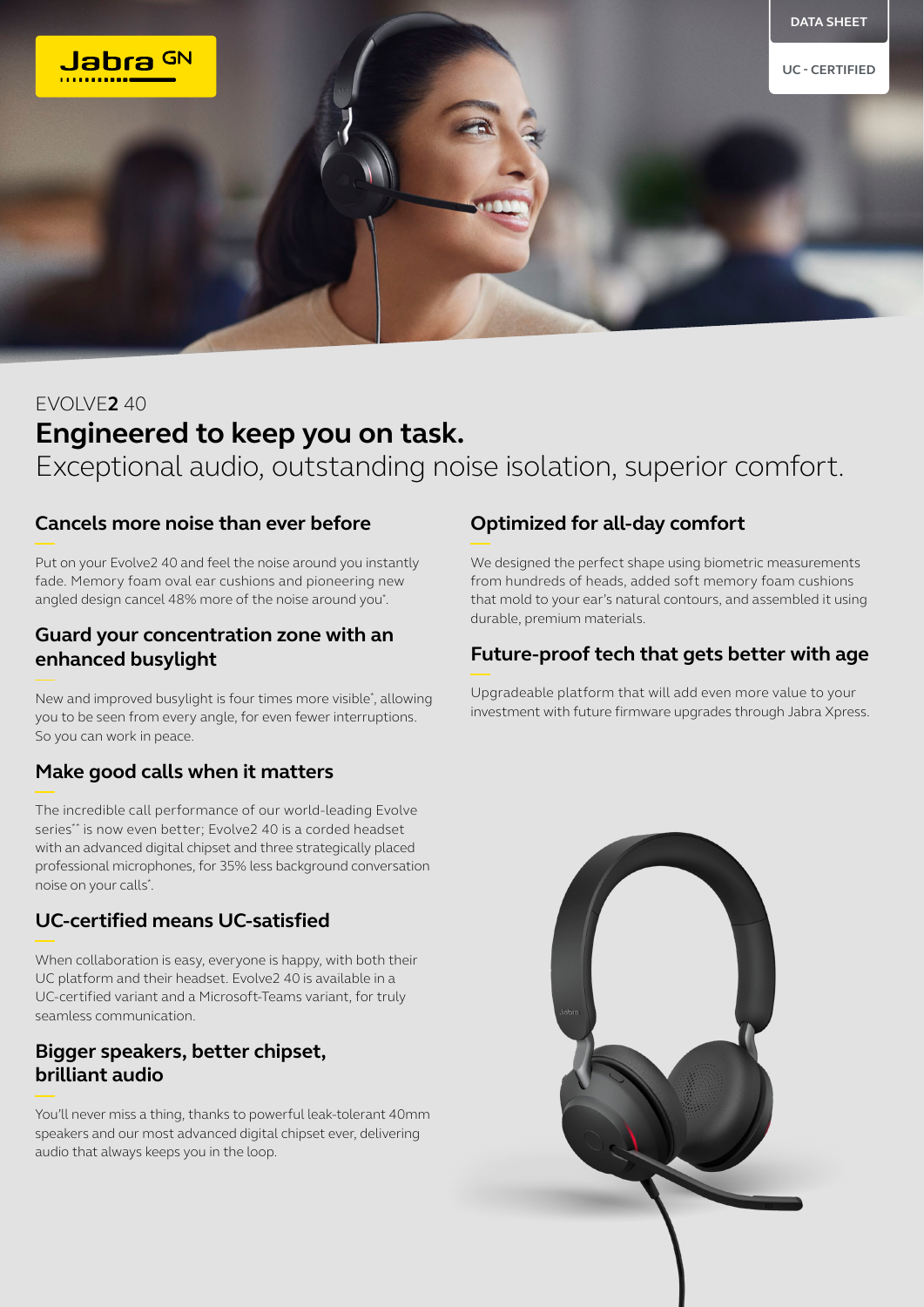

# EVOLVE**2** 40 **Engineered to keep you on task.** Exceptional audio, outstanding noise isolation, superior comfort.

#### **Cancels more noise than ever before**

Put on your Evolve2 40 and feel the noise around you instantly fade. Memory foam oval ear cushions and pioneering new angled design cancel 48% more of the noise around you\* .

#### **Guard your concentration zone with an enhanced busylight**

New and improved busylight is four times more visible\* , allowing you to be seen from every angle, for even fewer interruptions. So you can work in peace.

# **Make good calls when it matters**

The incredible call performance of our world-leading Evolve series\*\* is now even better; Evolve2 40 is a corded headset with an advanced digital chipset and three strategically placed professional microphones, for 35% less background conversation noise on your calls\* .

#### **UC-certified means UC-satisfied**

When collaboration is easy, everyone is happy, with both their UC platform and their headset. Evolve2 40 is available in a UC-certified variant and a Microsoft-Teams variant, for truly seamless communication.

### **Bigger speakers, better chipset, brilliant audio**

You'll never miss a thing, thanks to powerful leak-tolerant 40mm speakers and our most advanced digital chipset ever, delivering audio that always keeps you in the loop.

## **Optimized for all-day comfort**

We designed the perfect shape using biometric measurements from hundreds of heads, added soft memory foam cushions that mold to your ear's natural contours, and assembled it using durable, premium materials.

# **Future-proof tech that gets better with age**

Upgradeable platform that will add even more value to your investment with future firmware upgrades through Jabra Xpress.